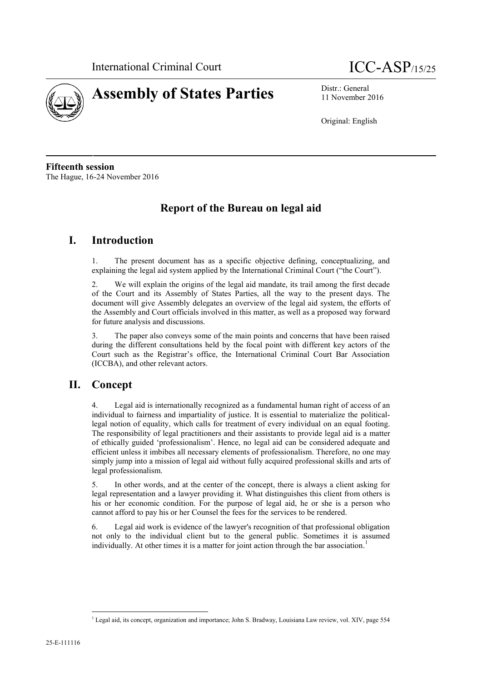



11 November 2016

Original: English

**Fifteenth session** The Hague, 16-24 November 2016

# **Report of the Bureau on legal aid**

### **I. Introduction**

1. The present document has as a specific objective defining, conceptualizing, and explaining the legal aid system applied by the International Criminal Court ("the Court").

2. We will explain the origins of the legal aid mandate, its trail among the first decade of the Court and its Assembly of States Parties, all the way to the present days. The document will give Assembly delegates an overview of the legal aid system, the efforts of the Assembly and Court officials involved in this matter, as well as a proposed way forward for future analysis and discussions.

3. The paper also conveys some of the main points and concerns that have been raised during the different consultations held by the focal point with different key actors of the Court such as the Registrar's office, the International Criminal Court Bar Association (ICCBA), and other relevant actors.

#### **II. Concept**

4. Legal aid is internationally recognized as a fundamental human right of access of an individual to fairness and impartiality of justice. It is essential to materialize the politicallegal notion of equality, which calls for treatment of every individual on an equal footing. The responsibility of legal practitioners and their assistants to provide legal aid is a matter of ethically guided 'professionalism'. Hence, no legal aid can be considered adequate and efficient unless it imbibes all necessary elements of professionalism. Therefore, no one may simply jump into a mission of legal aid without fully acquired professional skills and arts of legal professionalism.

5. In other words, and at the center of the concept, there is always a client asking for legal representation and a lawyer providing it. What distinguishes this client from others is his or her economic condition. For the purpose of legal aid, he or she is a person who cannot afford to pay his or her Counsel the fees for the services to be rendered.

6. Legal aid work is evidence of the lawyer's recognition of that professional obligation not only to the individual client but to the general public. Sometimes it is assumed individually. At other times it is a matter for joint action through the bar association.<sup>1</sup>

<sup>&</sup>lt;sup>1</sup> Legal aid, its concept, organization and importance; John S. Bradway, Louisiana Law review, vol. XIV, page 554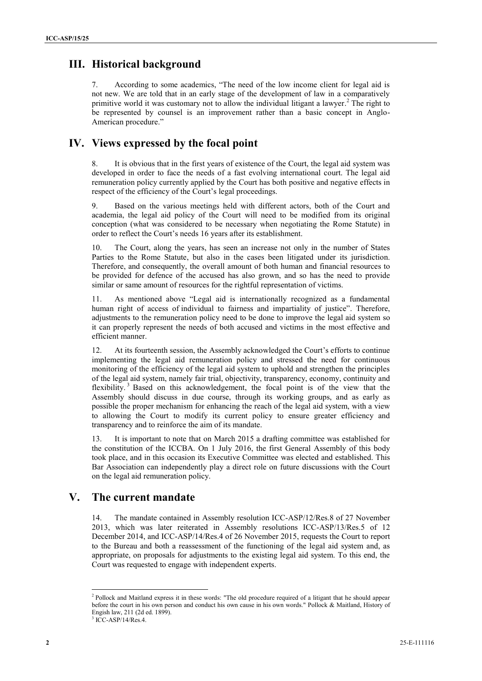## **III. Historical background**

7. According to some academics, "The need of the low income client for legal aid is not new. We are told that in an early stage of the development of law in a comparatively primitive world it was customary not to allow the individual litigant a lawyer.<sup>2</sup> The right to be represented by counsel is an improvement rather than a basic concept in Anglo- American procedure."

## **IV. Views expressed by the focal point**

8. It is obvious that in the first years of existence of the Court, the legal aid system was developed in order to face the needs of a fast evolving international court. The legal aid remuneration policy currently applied by the Court has both positive and negative effects in respect of the efficiency of the Court's legal proceedings.

9. Based on the various meetings held with different actors, both of the Court and academia, the legal aid policy of the Court will need to be modified from its original conception (what was considered to be necessary when negotiating the Rome Statute) in order to reflect the Court's needs 16 years after its establishment.

10. The Court, along the years, has seen an increase not only in the number of States Parties to the Rome Statute, but also in the cases been litigated under its jurisdiction. Therefore, and consequently, the overall amount of both human and financial resources to be provided for defence of the accused has also grown, and so has the need to provide similar or same amount of resources for the rightful representation of victims.

11. As mentioned above "Legal aid is internationally recognized as a fundamental human right of access of individual to fairness and impartiality of justice". Therefore, adjustments to the remuneration policy need to be done to improve the legal aid system so it can properly represent the needs of both accused and victims in the most effective and efficient manner.

12. At its fourteenth session, the Assembly acknowledged the Court's efforts to continue implementing the legal aid remuneration policy and stressed the need for continuous monitoring of the efficiency of the legal aid system to uphold and strengthen the principles of the legal aid system, namely fair trial, objectivity, transparency, economy, continuity and flexibility. <sup>3</sup> Based on this acknowledgement, the focal point is of the view that the Assembly should discuss in due course, through its working groups, and as early as possible the proper mechanism for enhancing the reach of the legal aid system, with a view to allowing the Court to modify its current policy to ensure greater efficiency and transparency and to reinforce the aim of its mandate.

13. It is important to note that on March 2015 a drafting committee was established for the constitution of the ICCBA. On 1 July 2016, the first General Assembly of this body took place, and in this occasion its Executive Committee was elected and established. This Bar Association can independently play a direct role on future discussions with the Court on the legal aid remuneration policy.

#### **V. The current mandate**

14. The mandate contained in Assembly resolution ICC-ASP/12/Res.8 of 27 November 2013, which was later reiterated in Assembly resolutions ICC-ASP/13/Res.5 of 12 December 2014, and ICC-ASP/14/Res.4 of 26 November 2015, requests the Court to report to the Bureau and both a reassessment of the functioning of the legal aid system and, as appropriate, on proposals for adjustments to the existing legal aid system. To this end, the Court was requested to engage with independent experts.

<sup>&</sup>lt;sup>2</sup> Pollock and Maitland express it in these words: "The old procedure required of a litigant that he should appear before the court in his own person and conduct his own cause in his own words." Pollock & Maitland, History of Engish law, 211 (2d ed. 1899).<br><sup>3</sup> ICC-ASP/14/Res.4.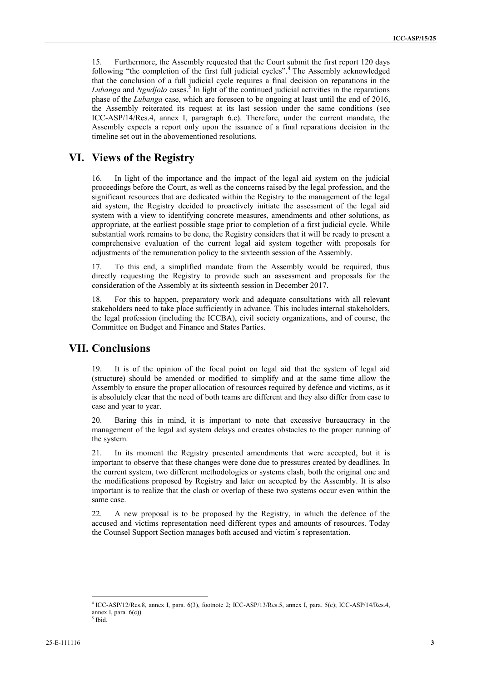15. Furthermore, the Assembly requested that the Court submit the first report 120 days following "the completion of the first full judicial cycles".<sup>4</sup> The Assembly acknowledged that the conclusion of a full judicial cycle requires a final decision on reparations in the *Lubanga* and *Ngudjolo* cases.<sup>5</sup> In light of the continued judicial activities in the reparations phase of the *Lubanga* case, which are foreseen to be ongoing at least until the end of 2016, the Assembly reiterated its request at its last session under the same conditions (see ICC-ASP/14/Res.4, annex I, paragraph 6.c). Therefore, under the current mandate, the Assembly expects a report only upon the issuance of a final reparations decision in the timeline set out in the abovementioned resolutions.

### **VI. Views of the Registry**

16. In light of the importance and the impact of the legal aid system on the judicial proceedings before the Court, as well as the concerns raised by the legal profession, and the significant resources that are dedicated within the Registry to the management of the legal aid system, the Registry decided to proactively initiate the assessment of the legal aid system with a view to identifying concrete measures, amendments and other solutions, as appropriate, at the earliest possible stage prior to completion of a first judicial cycle. While substantial work remains to be done, the Registry considers that it will be ready to present a comprehensive evaluation of the current legal aid system together with proposals for adjustments of the remuneration policy to the sixteenth session of the Assembly.

17. To this end, a simplified mandate from the Assembly would be required, thus directly requesting the Registry to provide such an assessment and proposals for the consideration of the Assembly at its sixteenth session in December 2017.

18. For this to happen, preparatory work and adequate consultations with all relevant stakeholders need to take place sufficiently in advance. This includes internal stakeholders, the legal profession (including the ICCBA), civil society organizations, and of course, the Committee on Budget and Finance and States Parties.

#### **VII. Conclusions**

19. It is of the opinion of the focal point on legal aid that the system of legal aid (structure) should be amended or modified to simplify and at the same time allow the Assembly to ensure the proper allocation of resources required by defence and victims, as it is absolutely clear that the need of both teams are different and they also differ from case to case and year to year.

20. Baring this in mind, it is important to note that excessive bureaucracy in the management of the legal aid system delays and creates obstacles to the proper running of the system.

21. In its moment the Registry presented amendments that were accepted, but it is important to observe that these changes were done due to pressures created by deadlines. In the current system, two different methodologies or systems clash, both the original one and the modifications proposed by Registry and later on accepted by the Assembly. It is also important is to realize that the clash or overlap of these two systems occur even within the same case.

22. A new proposal is to be proposed by the Registry, in which the defence of the accused and victims representation need different types and amounts of resources. Today the Counsel Support Section manages both accused and victim´s representation.

<sup>4</sup> ICC-ASP/12/Res.8, annex I, para. 6(3), footnote 2; ICC-ASP/13/Res.5, annex I, para. 5(c); ICC-ASP/14/Res.4, annex I, para.  $6(c)$ ).  $5 \text{ Ibid.}$